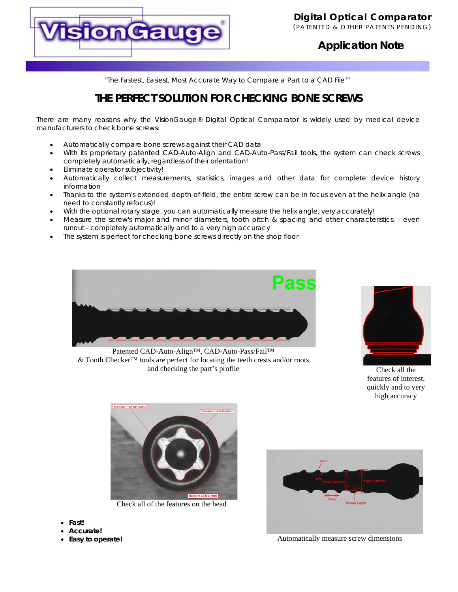

### **Application Note**

"*The Fastest, Easiest, Most Accurate Way to Compare a Part to a CAD File™*

## **THE PERFECT SOLUTION FOR CHECKING BONE SCREWS**

There are many reasons why the VisionGauge® Digital Optical Comparator is widely used by medical device manufacturers to check bone screws:

- Automatically compare bone screws against their CAD data
- With its proprietary patented CAD-Auto-Align and CAD-Auto-Pass/Fail tools, the system can check screws completely automatically, regardless of their orientation!
- Eliminate operator subjectivity!
- Automatically collect measurements, statistics, images and other data for complete device history information
- Thanks to the system's extended depth-of-field, the entire screw can be in focus even at the helix angle (no need to constantly refocus)!
- With the optional rotary stage, you can automatically measure the helix angle, very accurately!
- Measure the screw's major and minor diameters, tooth pitch & spacing and other characteristics, even runout - completely automatically and to a very high accuracy
- The system is perfect for checking bone screws directly on the shop floor



Patented CAD-Auto-Align™, CAD-Auto-Pass/Fail™ & Tooth Checker™ tools are perfect for locating the teeth crests and/or roots and checking the part's profile



Check all the features of interest, quickly and to very high accuracy



Check all of the features on the head

- **Fast!**
- **Accurate!**
- **Easy to operate!**



Automatically measure screw dimensions